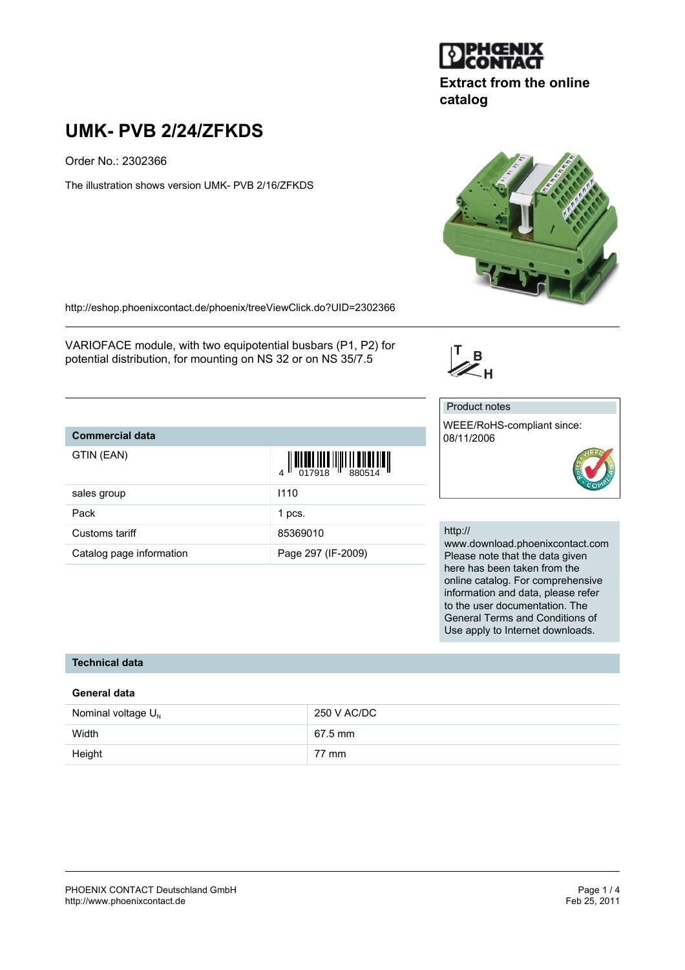

# **Extract from the online catalog**

# **UMK- PVB 2/24/ZFKDS**

Order No.: 2302366

The illustration shows version UMK- PVB 2/16/ZFKDS



<http://eshop.phoenixcontact.de/phoenix/treeViewClick.do?UID=2302366>

VARIOFACE module, with two equipotential busbars (P1, P2) for potential distribution, for mounting on NS 32 or on NS 35/7.5

Customs tariff 85369010

Catalog page information **Page 297 (IF-2009)** 

# **Commercial data**

| Commercial data |                                                                                                                                                                                                                                                                                                                                                                                                                                                                                                                                                                 |
|-----------------|-----------------------------------------------------------------------------------------------------------------------------------------------------------------------------------------------------------------------------------------------------------------------------------------------------------------------------------------------------------------------------------------------------------------------------------------------------------------------------------------------------------------------------------------------------------------|
| GTIN (EAN)      | $\begin{array}{c} \begin{array}{c} \begin{array}{c} \end{array} \\ \begin{array}{c} \end{array} \\ \begin{array}{c} \end{array} \\ \begin{array}{c} \end{array} \\ \begin{array}{c} \end{array} \\ \begin{array}{c} \end{array} \\ \begin{array}{c} \end{array} \\ \begin{array}{c} \end{array} \\ \begin{array}{c} \end{array} \\ \begin{array}{c} \end{array} \\ \begin{array}{c} \end{array} \\ \begin{array}{c} \end{array} \\ \begin{array}{c} \end{array} \\ \begin{array}{c} \end{array} \\ \begin{array}{c} \end{array} \\ \begin{array}{c} \end{array$ |
| sales group     | 1110                                                                                                                                                                                                                                                                                                                                                                                                                                                                                                                                                            |
| Pack            | 1 pcs.                                                                                                                                                                                                                                                                                                                                                                                                                                                                                                                                                          |

#### Product notes

 $\mathbb{Z}_{H}^{B}$ 

WEEE/RoHS-compliant since: 08/11/2006



#### http://

www.download.phoenixcontact.com Please note that the data given here has been taken from the online catalog. For comprehensive information and data, please refer to the user documentation. The General Terms and Conditions of Use apply to Internet downloads.

# **Technical data**

#### **General data**

| Nominal voltage $U_{N}$ | 250 V AC/DC |
|-------------------------|-------------|
| Width                   | 67.5 mm     |
| Height                  | 77 mm       |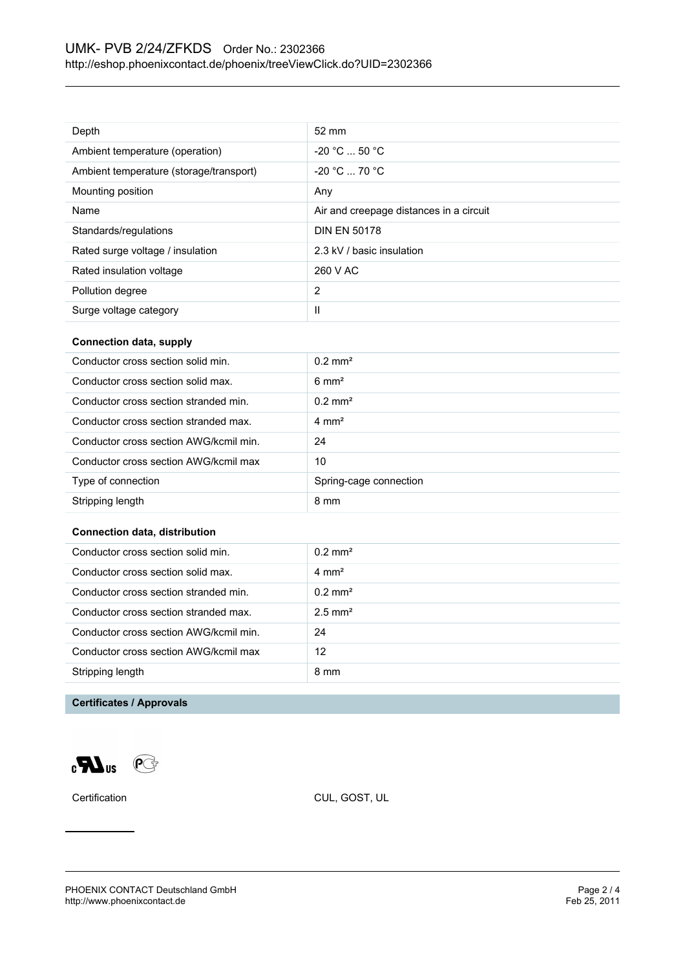| Depth                                   | $52 \text{ mm}$                         |
|-----------------------------------------|-----------------------------------------|
| Ambient temperature (operation)         | $-20 °C  50 °C$                         |
| Ambient temperature (storage/transport) | $-20 °C = 70 °C$                        |
| Mounting position                       | Any                                     |
| Name                                    | Air and creepage distances in a circuit |
| Standards/regulations                   | <b>DIN EN 50178</b>                     |
| Rated surge voltage / insulation        | 2.3 kV / basic insulation               |
| Rated insulation voltage                | 260 V AC                                |
| Pollution degree                        | $\overline{2}$                          |
| Surge voltage category                  | Ш                                       |

#### **Connection data, supply**

| Conductor cross section solid min.     | $0.2$ mm <sup>2</sup>  |
|----------------------------------------|------------------------|
| Conductor cross section solid max.     | $6 \text{ mm}^2$       |
| Conductor cross section stranded min.  | $0.2 \text{ mm}^2$     |
| Conductor cross section stranded max.  | $4 \text{ mm}^2$       |
| Conductor cross section AWG/kcmil min. | 24                     |
| Conductor cross section AWG/kcmil max  | 10                     |
| Type of connection                     | Spring-cage connection |
| Stripping length                       | 8 mm                   |

#### **Connection data, distribution**

| Conductor cross section solid min.     | $0.2 \text{ mm}^2$    |
|----------------------------------------|-----------------------|
| Conductor cross section solid max.     | $4 \text{ mm}^2$      |
| Conductor cross section stranded min.  | $0.2 \text{ mm}^2$    |
| Conductor cross section stranded max.  | $2.5$ mm <sup>2</sup> |
| Conductor cross section AWG/kcmil min. | 24                    |
| Conductor cross section AWG/kcmil max  | 12                    |
| Stripping length                       | 8 mm                  |
|                                        |                       |

# **Certificates / Approvals**

 $\mathbf{C}$  and  $\mathbf{C}$ 

Certification CUL, GOST, UL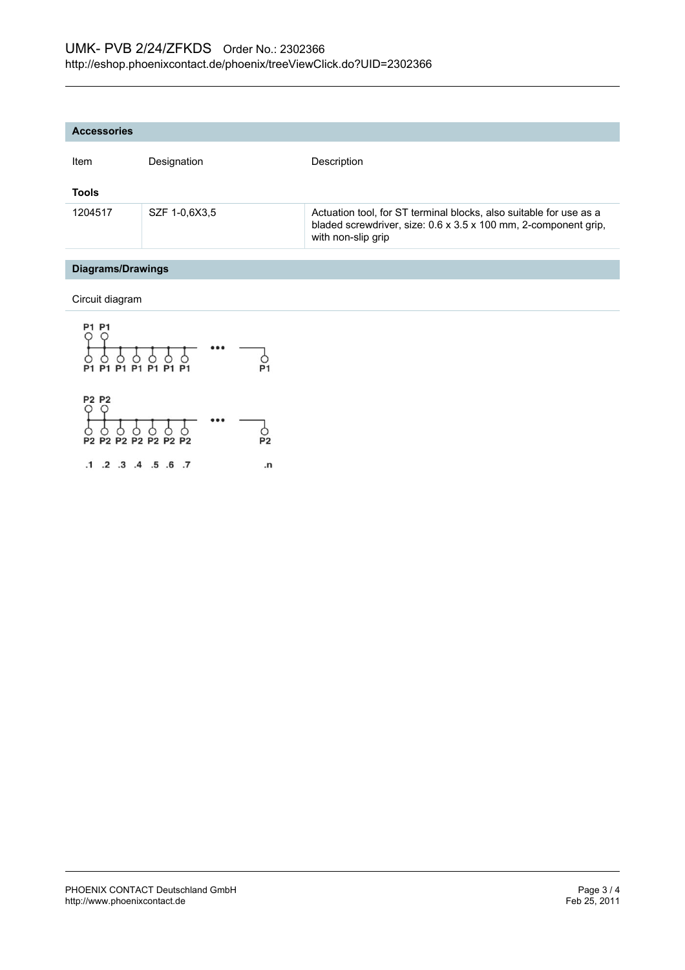| <b>Accessories</b> |               |                                                                                                                                                             |
|--------------------|---------------|-------------------------------------------------------------------------------------------------------------------------------------------------------------|
| Item               | Designation   | Description                                                                                                                                                 |
| <b>Tools</b>       |               |                                                                                                                                                             |
| 1204517            | SZF 1-0.6X3.5 | Actuation tool, for ST terminal blocks, also suitable for use as a<br>bladed screwdriver, size: 0.6 x 3.5 x 100 mm, 2-component grip,<br>with non-slip grip |
|                    |               |                                                                                                                                                             |

# **Diagrams/Drawings**

Circuit diagram